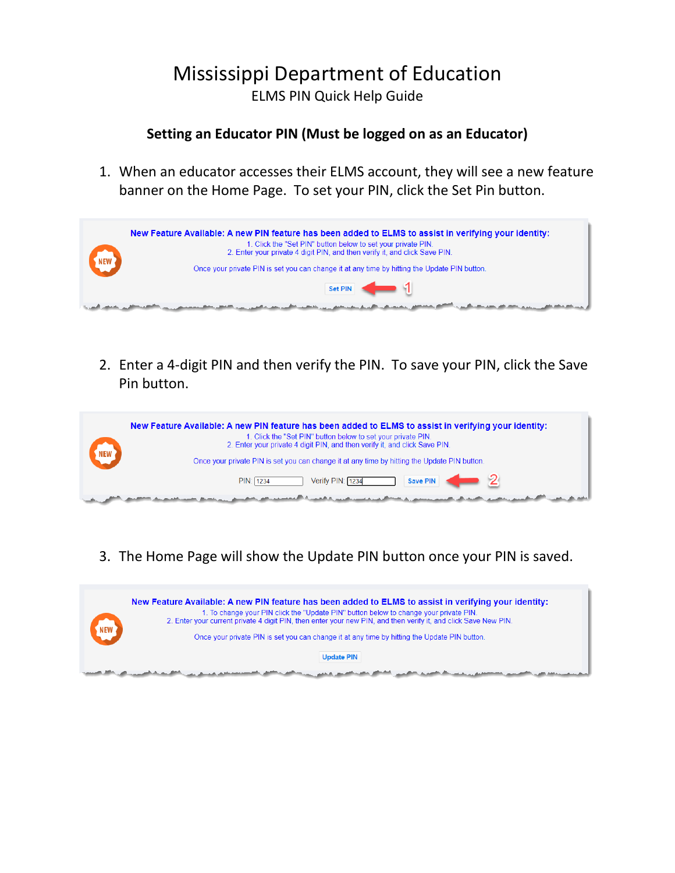## Mississippi Department of Education ELMS PIN Quick Help Guide

### **Setting an Educator PIN (Must be logged on as an Educator)**

1. When an educator accesses their ELMS account, they will see a new feature banner on the Home Page. To set your PIN, click the Set Pin button.



2. Enter a 4-digit PIN and then verify the PIN. To save your PIN, click the Save Pin button.



3. The Home Page will show the Update PIN button once your PIN is saved.

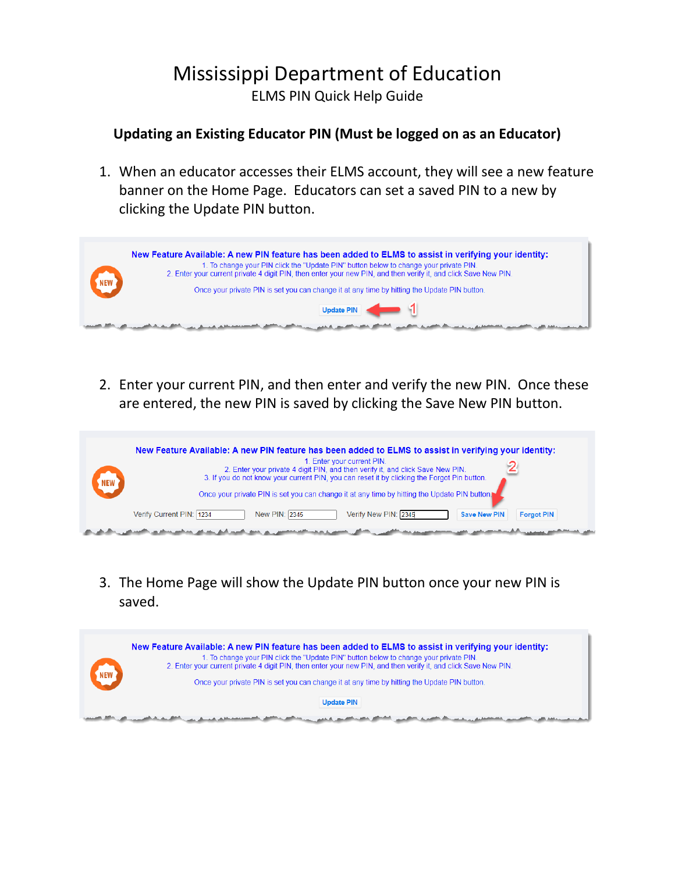# Mississippi Department of Education ELMS PIN Quick Help Guide

### **Updating an Existing Educator PIN (Must be logged on as an Educator)**

1. When an educator accesses their ELMS account, they will see a new feature banner on the Home Page. Educators can set a saved PIN to a new by clicking the Update PIN button.



2. Enter your current PIN, and then enter and verify the new PIN. Once these are entered, the new PIN is saved by clicking the Save New PIN button.



3. The Home Page will show the Update PIN button once your new PIN is saved.